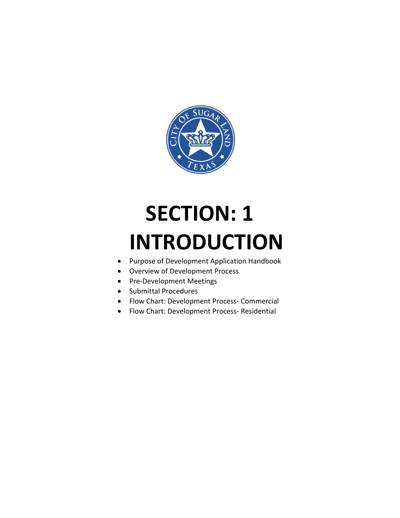

# **SECTION: 1 INTRODUCTION**

- Purpose of Development Application Handbook
- Overview of Development Process
- Pre-Development Meetings
- Submittal Procedures
- Flow Chart: Development Process- Commercial
- Flow Chart: Development Process- Residential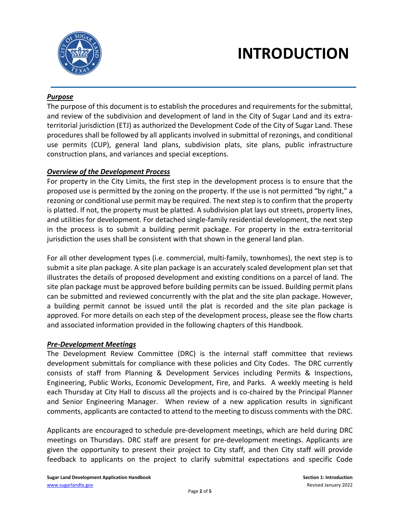

# **INTRODUCTION**

#### *Purpose*

The purpose of this document is to establish the procedures and requirements for the submittal, and review of the subdivision and development of land in the City of Sugar Land and its extraterritorial jurisdiction (ETJ) as authorized the Development Code of the City of Sugar Land. These procedures shall be followed by all applicants involved in submittal of rezonings, and conditional use permits (CUP), general land plans, subdivision plats, site plans, public infrastructure construction plans, and variances and special exceptions.

#### *Overview of the Development Process*

For property in the City Limits, the first step in the development process is to ensure that the proposed use is permitted by the zoning on the property. If the use is not permitted "by right," a rezoning or conditional use permit may be required. The next step is to confirm that the property is platted. If not, the property must be platted. A subdivision plat lays out streets, property lines, and utilities for development. For detached single-family residential development, the next step in the process is to submit a building permit package. For property in the extra-territorial jurisdiction the uses shall be consistent with that shown in the general land plan.

For all other development types (i.e. commercial, multi-family, townhomes), the next step is to submit a site plan package. A site plan package is an accurately scaled development plan set that illustrates the details of proposed development and existing conditions on a parcel of land. The site plan package must be approved before building permits can be issued. Building permit plans can be submitted and reviewed concurrently with the plat and the site plan package. However, a building permit cannot be issued until the plat is recorded and the site plan package is approved. For more details on each step of the development process, please see the flow charts and associated information provided in the following chapters of this Handbook.

#### *Pre-Development Meetings*

The Development Review Committee (DRC) is the internal staff committee that reviews development submittals for compliance with these policies and City Codes. The DRC currently consists of staff from Planning & Development Services including Permits & Inspections, Engineering, Public Works, Economic Development, Fire, and Parks. A weekly meeting is held each Thursday at City Hall to discuss all the projects and is co-chaired by the Principal Planner and Senior Engineering Manager. When review of a new application results in significant comments, applicants are contacted to attend to the meeting to discuss comments with the DRC.

Applicants are encouraged to schedule pre-development meetings, which are held during DRC meetings on Thursdays. DRC staff are present for pre-development meetings. Applicants are given the opportunity to present their project to City staff, and then City staff will provide feedback to applicants on the project to clarify submittal expectations and specific Code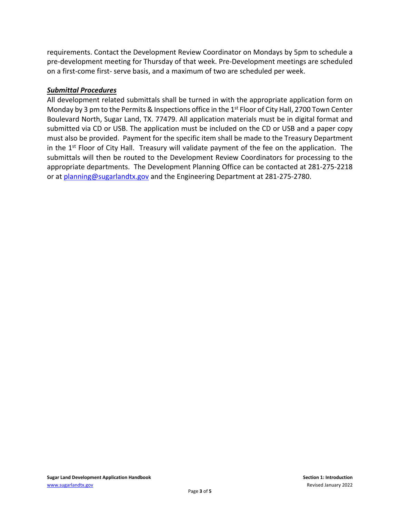requirements. Contact the Development Review Coordinator on Mondays by 5pm to schedule a pre-development meeting for Thursday of that week. Pre-Development meetings are scheduled on a first-come first- serve basis, and a maximum of two are scheduled per week.

#### *Submittal Procedures*

All development related submittals shall be turned in with the appropriate application form on Monday by 3 pm to the Permits & Inspections office in the 1<sup>st</sup> Floor of City Hall, 2700 Town Center Boulevard North, Sugar Land, TX. 77479. All application materials must be in digital format and submitted via CD or USB. The application must be included on the CD or USB and a paper copy must also be provided. Payment for the specific item shall be made to the Treasury Department in the  $1<sup>st</sup>$  Floor of City Hall. Treasury will validate payment of the fee on the application. The submittals will then be routed to the Development Review Coordinators for processing to the appropriate departments. The Development Planning Office can be contacted at 281-275-2218 or at [planning@sugarlandtx.gov](mailto:planning@sugarlandtx.gov) and the Engineering Department at 281-275-2780.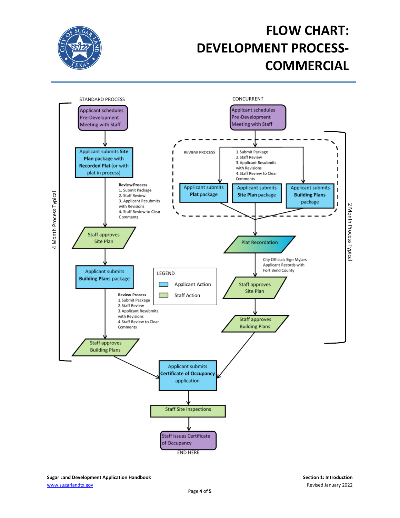

## **FLOW CHART: DEVELOPMENT PROCESS-COMMERCIAL**